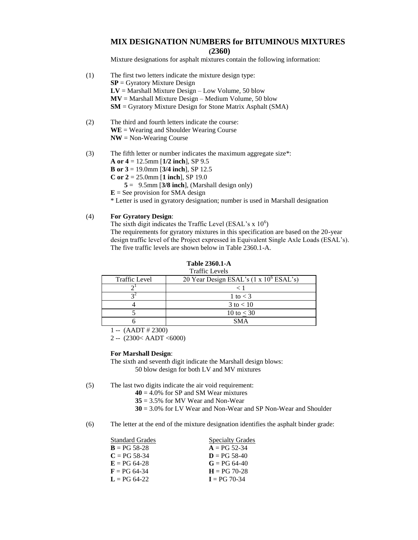### **MIX DESIGNATION NUMBERS for BITUMINOUS MIXTURES (2360)**

Mixture designations for asphalt mixtures contain the following information:

- (1) The first two letters indicate the mixture design type: **SP** = Gyratory Mixture Design  $LV =$  Marshall Mixture Design – Low Volume, 50 blow **MV** = Marshall Mixture Design – Medium Volume, 50 blow **SM** = Gyratory Mixture Design for Stone Matrix Asphalt (SMA) (2) The third and fourth letters indicate the course: **WE** = Wearing and Shoulder Wearing Course **NW** = Non-Wearing Course
- (3) The fifth letter or number indicates the maximum aggregate size\*:
	- **A or 4** = 12.5mm [**1/2 inch**], SP 9.5
	- **B or 3** = 19.0mm [**3/4 inch**], SP 12.5
	- **C or 2** = 25.0mm [**1 inch**], SP 19.0
		- $5 = 9.5$ mm [3/8 inch], (Marshall design only)
	- $E =$  See provision for SMA design

\* Letter is used in gyratory designation; number is used in Marshall designation

#### (4) **For Gyratory Design**:

The sixth digit indicates the Traffic Level (ESAL's x  $10<sup>6</sup>$ ) The requirements for gyratory mixtures in this specification are based on the 20-year design traffic level of the Project expressed in Equivalent Single Axle Loads (ESAL's). The five traffic levels are shown below in Table 2360.1-A.

| <b>Traffic Levels</b> |                                                        |  |  |  |  |
|-----------------------|--------------------------------------------------------|--|--|--|--|
| <b>Traffic Level</b>  | 20 Year Design ESAL's $(1 \times 10^6 \text{ ESAL's})$ |  |  |  |  |
|                       | $\,<\,$                                                |  |  |  |  |
|                       | 1 to $<$ 3                                             |  |  |  |  |
|                       | $3 \text{ to } < 10$                                   |  |  |  |  |
|                       | 10 to $<$ 30                                           |  |  |  |  |
|                       | <b>SMA</b>                                             |  |  |  |  |

# **Table 2360.1-A**

 $1 - (AADT \# 2300)$ 

2 -- (2300< AADT <6000)

#### **For Marshall Design**:

The sixth and seventh digit indicate the Marshall design blows: 50 blow design for both LV and MV mixtures

(5) The last two digits indicate the air void requirement:

- **40** = 4.0% for SP and SM Wear mixtures
- **35** = 3.5% for MV Wear and Non-Wear
- **30** = 3.0% for LV Wear and Non-Wear and SP Non-Wear and Shoulder

(6) The letter at the end of the mixture designation identifies the asphalt binder grade:

| <b>Standard Grades</b> | <b>Specialty Grades</b> |
|------------------------|-------------------------|
| $B = PG 58-28$         | $A = PG 52-34$          |
| $C = PG 58-34$         | $D = PG 58-40$          |
| $E = PG 64-28$         | $G = PG 64-40$          |
| $F = PG 64-34$         | $H = PG 70-28$          |
| $L = PG 64-22$         | $I = PG 70-34$          |